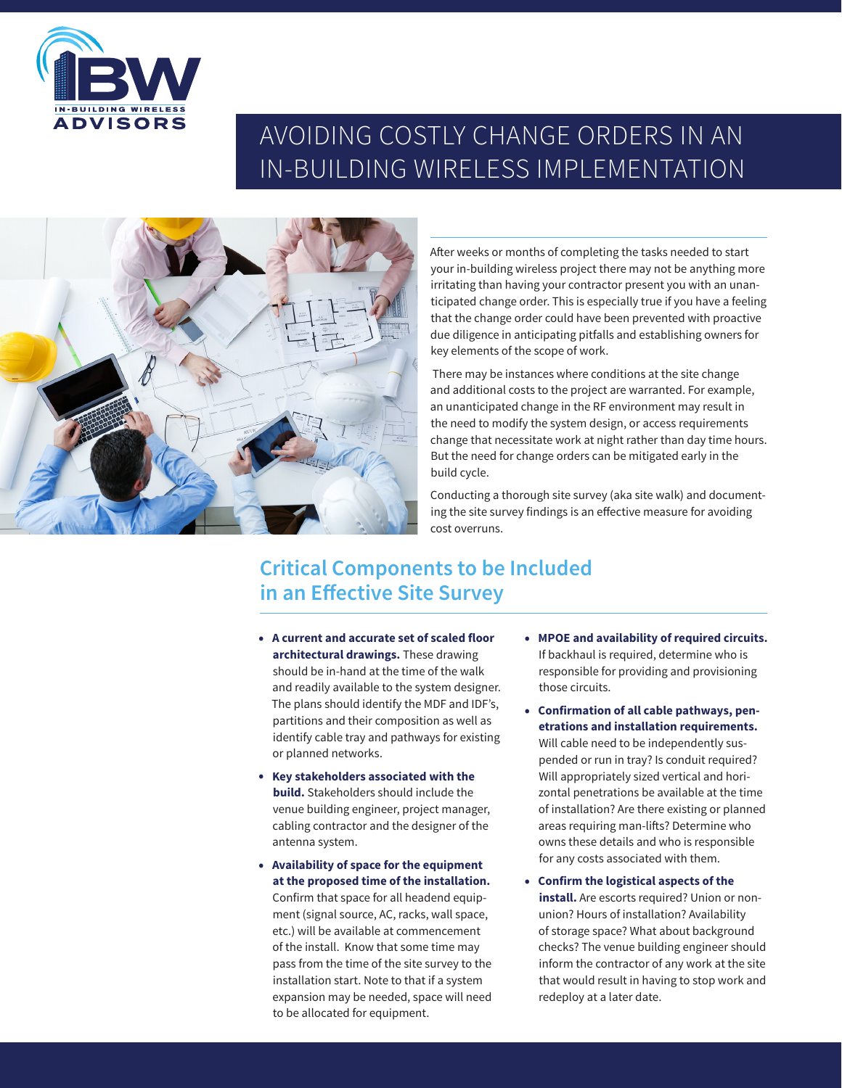

# AVOIDING COSTLY CHANGE ORDERS IN AN IN-BUILDING WIRELESS IMPLEMENTATION



After weeks or months of completing the tasks needed to start your in-building wireless project there may not be anything more irritating than having your contractor present you with an unanticipated change order. This is especially true if you have a feeling that the change order could have been prevented with proactive due diligence in anticipating pitfalls and establishing owners for key elements of the scope of work.

 There may be instances where conditions at the site change and additional costs to the project are warranted. For example, an unanticipated change in the RF environment may result in the need to modify the system design, or access requirements change that necessitate work at night rather than day time hours. But the need for change orders can be mitigated early in the build cycle.

Conducting a thorough site survey (aka site walk) and documenting the site survey findings is an effective measure for avoiding cost overruns.

## **Critical Components to be Included in an Effective Site Survey**

- **A current and accurate set of scaled floor architectural drawings.** These drawing should be in-hand at the time of the walk and readily available to the system designer. The plans should identify the MDF and IDF's, partitions and their composition as well as identify cable tray and pathways for existing or planned networks.
- **Key stakeholders associated with the build.** Stakeholders should include the venue building engineer, project manager, cabling contractor and the designer of the antenna system.
- **Availability of space for the equipment at the proposed time of the installation.**  Confirm that space for all headend equipment (signal source, AC, racks, wall space, etc.) will be available at commencement of the install. Know that some time may pass from the time of the site survey to the installation start. Note to that if a system expansion may be needed, space will need to be allocated for equipment.
- **MPOE and availability of required circuits.** If backhaul is required, determine who is responsible for providing and provisioning those circuits.
- **Confirmation of all cable pathways, penetrations and installation requirements.** Will cable need to be independently suspended or run in tray? Is conduit required? Will appropriately sized vertical and horizontal penetrations be available at the time of installation? Are there existing or planned areas requiring man-lifts? Determine who owns these details and who is responsible for any costs associated with them.
- **Confirm the logistical aspects of the install.** Are escorts required? Union or nonunion? Hours of installation? Availability of storage space? What about background checks? The venue building engineer should inform the contractor of any work at the site that would result in having to stop work and redeploy at a later date.